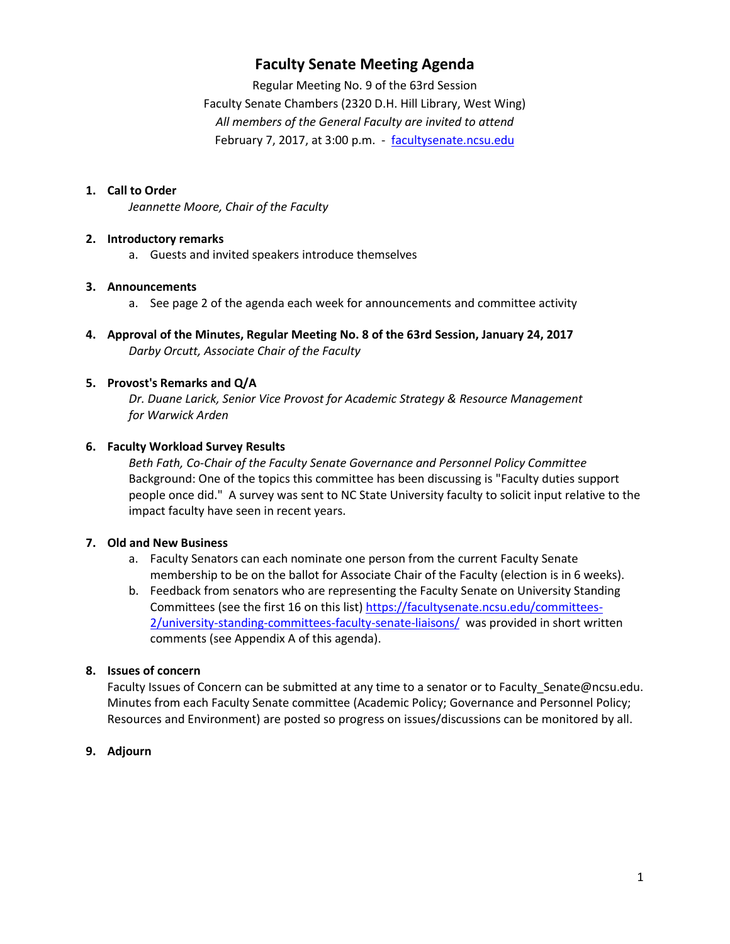# **Faculty Senate Meeting Agenda**

Regular Meeting No. 9 of the 63rd Session Faculty Senate Chambers (2320 D.H. Hill Library, West Wing) *All members of the General Faculty are invited to attend* February 7, 2017, at 3:00 p.m. - [facultysenate.ncsu.edu](https://facultysenate.ncsu.edu/)

# **1. Call to Order**

*Jeannette Moore, Chair of the Faculty*

## **2. Introductory remarks**

a. Guests and invited speakers introduce themselves

## **3. Announcements**

- a. See page 2 of the agenda each week for announcements and committee activity
- **4. Approval of the Minutes, Regular Meeting No. 8 of the 63rd Session, January 24, 2017** *Darby Orcutt, Associate Chair of the Faculty*

# **5. Provost's Remarks and Q/A**

*Dr. Duane Larick, Senior Vice Provost for Academic Strategy & Resource Management for Warwick Arden*

# **6. Faculty Workload Survey Results**

*Beth Fath, Co-Chair of the Faculty Senate Governance and Personnel Policy Committee* Background: One of the topics this committee has been discussing is "Faculty duties support people once did." A survey was sent to NC State University faculty to solicit input relative to the impact faculty have seen in recent years.

## **7. Old and New Business**

- a. Faculty Senators can each nominate one person from the current Faculty Senate membership to be on the ballot for Associate Chair of the Faculty (election is in 6 weeks).
- b. Feedback from senators who are representing the Faculty Senate on University Standing Committees (see the first 16 on this list) [https://facultysenate.ncsu.edu/committees-](https://facultysenate.ncsu.edu/committees-2/university-standing-committees-faculty-senate-liaisons/)[2/university-standing-committees-faculty-senate-liaisons/](https://facultysenate.ncsu.edu/committees-2/university-standing-committees-faculty-senate-liaisons/) was provided in short written comments (see Appendix A of this agenda).

## **8. Issues of concern**

Faculty Issues of Concern can be submitted at any time to a senator or to Faculty\_Senate@ncsu.edu. Minutes from each Faculty Senate committee (Academic Policy; Governance and Personnel Policy; Resources and Environment) are posted so progress on issues/discussions can be monitored by all.

# **9. Adjourn**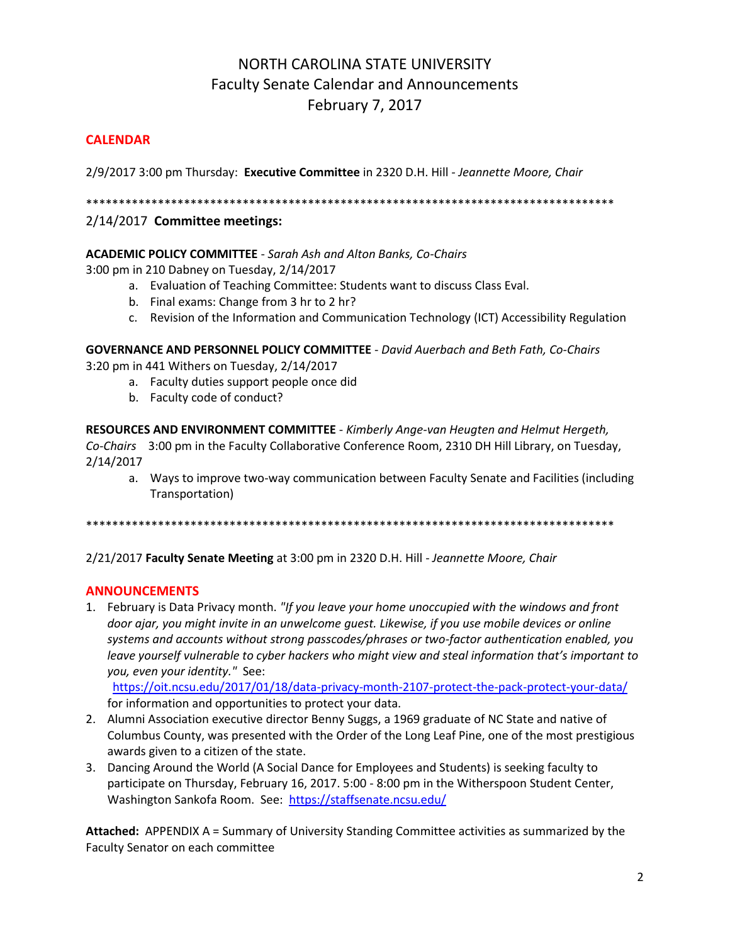# NORTH CAROLINA STATE UNIVERSITY Faculty Senate Calendar and Announcements February 7, 2017

# **CALENDAR**

2/9/2017 3:00 pm Thursday: **Executive Committee** in 2320 D.H. Hill *- Jeannette Moore, Chair*

\*\*\*\*\*\*\*\*\*\*\*\*\*\*\*\*\*\*\*\*\*\*\*\*\*\*\*\*\*\*\*\*\*\*\*\*\*\*\*\*\*\*\*\*\*\*\*\*\*\*\*\*\*\*\*\*\*\*\*\*\*\*\*\*\*\*\*\*\*\*\*\*\*\*\*\*\*\*\*\*\*

# 2/14/2017 **Committee meetings:**

# **ACADEMIC POLICY COMMITTEE** - *Sarah Ash and Alton Banks, Co-Chairs*

3:00 pm in 210 Dabney on Tuesday, 2/14/2017

- a. Evaluation of Teaching Committee: Students want to discuss Class Eval.
- b. Final exams: Change from 3 hr to 2 hr?
- c. Revision of the Information and Communication Technology (ICT) Accessibility Regulation

**GOVERNANCE AND PERSONNEL POLICY COMMITTEE** - *David Auerbach and Beth Fath, Co-Chairs*

3:20 pm in 441 Withers on Tuesday, 2/14/2017

- a. Faculty duties support people once did
- b. Faculty code of conduct?

**RESOURCES AND ENVIRONMENT COMMITTEE** - *Kimberly Ange-van Heugten and Helmut Hergeth, Co-Chairs* 3:00 pm in the Faculty Collaborative Conference Room, 2310 DH Hill Library, on Tuesday, 2/14/2017

a. Ways to improve two-way communication between Faculty Senate and Facilities (including Transportation)

\*\*\*\*\*\*\*\*\*\*\*\*\*\*\*\*\*\*\*\*\*\*\*\*\*\*\*\*\*\*\*\*\*\*\*\*\*\*\*\*\*\*\*\*\*\*\*\*\*\*\*\*\*\*\*\*\*\*\*\*\*\*\*\*\*\*\*\*\*\*\*\*\*\*\*\*\*\*\*\*\*

2/21/2017 **Faculty Senate Meeting** at 3:00 pm in 2320 D.H. Hill - *Jeannette Moore, Chair*

# **ANNOUNCEMENTS**

1. February is Data Privacy month. *"If you leave your home unoccupied with the windows and front door ajar, you might invite in an unwelcome guest. Likewise, if you use mobile devices or online systems and accounts without strong passcodes/phrases or two-factor authentication enabled, you leave yourself vulnerable to cyber hackers who might view and steal information that's important to you, even your identity."* See:

 <https://oit.ncsu.edu/2017/01/18/data-privacy-month-2107-protect-the-pack-protect-your-data/> for information and opportunities to protect your data.

- 2. Alumni Association executive director Benny Suggs, a 1969 graduate of NC State and native of Columbus County, was presented with the Order of the Long Leaf Pine, one of the most prestigious awards given to a citizen of the state.
- 3. Dancing Around the World (A Social Dance for Employees and Students) is seeking faculty to participate on Thursday, February 16, 2017. 5:00 - 8:00 pm in the Witherspoon Student Center, Washington Sankofa Room. See: <https://staffsenate.ncsu.edu/>

**Attached:** APPENDIX A = Summary of University Standing Committee activities as summarized by the Faculty Senator on each committee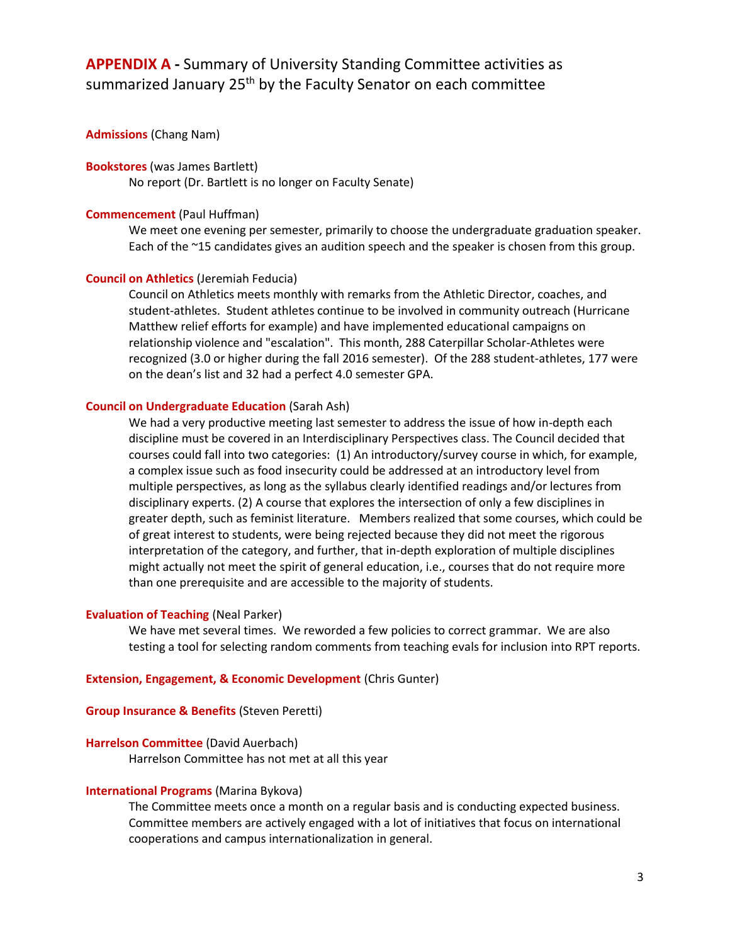# **APPENDIX A -** Summary of University Standing Committee activities as summarized January 25<sup>th</sup> by the Faculty Senator on each committee

### **Admissions** (Chang Nam)

#### **Bookstores** (was James Bartlett)

No report (Dr. Bartlett is no longer on Faculty Senate)

#### **Commencement** (Paul Huffman)

We meet one evening per semester, primarily to choose the undergraduate graduation speaker. Each of the ~15 candidates gives an audition speech and the speaker is chosen from this group.

#### **Council on Athletics** (Jeremiah Feducia)

Council on Athletics meets monthly with remarks from the Athletic Director, coaches, and student-athletes. Student athletes continue to be involved in community outreach (Hurricane Matthew relief efforts for example) and have implemented educational campaigns on relationship violence and "escalation". This month, 288 Caterpillar Scholar-Athletes were recognized (3.0 or higher during the fall 2016 semester). Of the 288 student-athletes, 177 were on the dean's list and 32 had a perfect 4.0 semester GPA.

### **Council on Undergraduate Education** (Sarah Ash)

We had a very productive meeting last semester to address the issue of how in-depth each discipline must be covered in an Interdisciplinary Perspectives class. The Council decided that courses could fall into two categories: (1) An introductory/survey course in which, for example, a complex issue such as food insecurity could be addressed at an introductory level from multiple perspectives, as long as the syllabus clearly identified readings and/or lectures from disciplinary experts. (2) A course that explores the intersection of only a few disciplines in greater depth, such as feminist literature. Members realized that some courses, which could be of great interest to students, were being rejected because they did not meet the rigorous interpretation of the category, and further, that in-depth exploration of multiple disciplines might actually not meet the spirit of general education, i.e., courses that do not require more than one prerequisite and are accessible to the majority of students.

#### **Evaluation of Teaching** (Neal Parker)

We have met several times. We reworded a few policies to correct grammar. We are also testing a tool for selecting random comments from teaching evals for inclusion into RPT reports.

#### **Extension, Engagement, & Economic Development** (Chris Gunter)

#### **Group Insurance & Benefits** (Steven Peretti)

## **Harrelson Committee** (David Auerbach)

Harrelson Committee has not met at all this year

#### **International Programs** (Marina Bykova)

The Committee meets once a month on a regular basis and is conducting expected business. Committee members are actively engaged with a lot of initiatives that focus on international cooperations and campus internationalization in general.